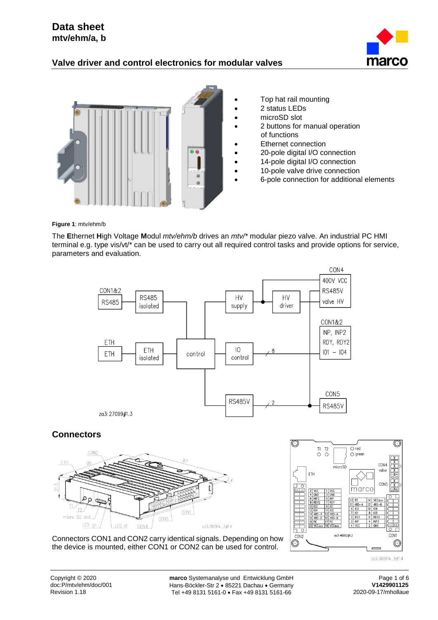# **Data sheet mtv/ehm/a, b**

# **Valve driver and control electronics for modular valves**





- Top hat rail mounting
- 2 status LEDs
- microSD slot
- 2 buttons for manual operation of functions
- Ethernet connection
- 20-pole digital I/O connection
- 14-pole digital I/O connection
- 10-pole valve drive connection
- 6-pole connection for additional elements

**Figure 1**: mtv/ehm/b

The **E**thernet **H**igh Voltage **M**odul *mtv/ehm/b* drives an *mtv/\** modular piezo valve. An industrial PC HMI terminal e.g. type vis/vt/\* can be used to carry out all required control tasks and provide options for service, parameters and evaluation.



# **Connectors**





Connectors CON1 and CON2 carry identical signals. Depending on how the device is mounted, either CON1 or CON2 can be used for control.

Copyright © 2020 **marco** Systemanalyse und Entwicklung GmbH Page 1 of 6<br>
doc:P/mtv/ehm/doc/001 Hans-Böckler-Str 2 • 85221 Dachau • Germany **V1429901125** doc:P/mtv/ehm/doc/001 **Hans-Böckler-Str 2 • 85221 Dachau • Germany V1429901125**<br>Revision 1.18 **Tel +49 8131 5161-0 • Fax +49 8131 5161-66** 2020-09-17/mhollaue Tel +49 8131 5161-0 · Fax +49 8131 5161-66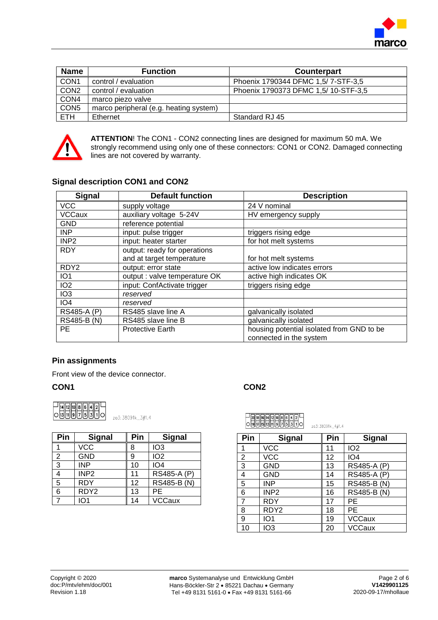

| <b>Name</b>      | <b>Function</b>                        | <b>Counterpart</b>                  |
|------------------|----------------------------------------|-------------------------------------|
| CON1             | control / evaluation                   | Phoenix 1790344 DFMC 1,5/7-STF-3,5  |
| CON <sub>2</sub> | control / evaluation                   | Phoenix 1790373 DFMC 1,5/10-STF-3,5 |
| CON <sub>4</sub> | marco piezo valve                      |                                     |
| CON <sub>5</sub> | marco peripheral (e.g. heating system) |                                     |
| ETH.             | Ethernet                               | Standard RJ 45                      |



**ATTENTION**! The CON1 - CON2 connecting lines are designed for maximum 50 mA. We strongly recommend using only one of these connectors: CON1 or CON2. Damaged connecting lines are not covered by warranty.

## **Signal description CON1 and CON2**

| <b>Signal</b>    | <b>Default function</b>       | <b>Description</b>                        |
|------------------|-------------------------------|-------------------------------------------|
| <b>VCC</b>       | supply voltage                | 24 V nominal                              |
| <b>VCCaux</b>    | auxiliary voltage 5-24V       | HV emergency supply                       |
| <b>GND</b>       | reference potential           |                                           |
| <b>INP</b>       | input: pulse trigger          | triggers rising edge                      |
| INP <sub>2</sub> | input: heater starter         | for hot melt systems                      |
| <b>RDY</b>       | output: ready for operations  |                                           |
|                  | and at target temperature     | for hot melt systems                      |
| RDY <sub>2</sub> | output: error state           | active low indicates errors               |
| IO <sub>1</sub>  | output : valve temperature OK | active high indicates OK                  |
| IO <sub>2</sub>  | input: ConfActivate trigger   | triggers rising edge                      |
| IO <sub>3</sub>  | reserved                      |                                           |
| IO <sub>4</sub>  | reserved                      |                                           |
| RS485-A (P)      | RS485 slave line A            | galvanically isolated                     |
| RS485-B (N)      | RS485 slave line B            | galvanically isolated                     |
| <b>PE</b>        | <b>Protective Earth</b>       | housing potential isolated from GND to be |
|                  |                               | connected in the system                   |

# **Pin assignments**

Front view of the device connector.

### **CON1 CON2**

|  |  | $\frac{1}{2}$ $\frac{1}{2}$ $\frac{1}{2}$ $\frac{1}{2}$ $\frac{1}{2}$ $\frac{1}{2}$ $\frac{1}{2}$ $\frac{1}{2}$ $\frac{1}{2}$ $\frac{1}{2}$ |  |  |
|--|--|---------------------------------------------------------------------------------------------------------------------------------------------|--|--|
|  |  | 9  7  5  3                                                                                                                                  |  |  |

za3: 38091k\_3#1.4

| Pin | <b>Signal</b>    | Pin | <b>Signal</b>                    |
|-----|------------------|-----|----------------------------------|
|     | <b>VCC</b>       | 8   | IO <sub>3</sub>                  |
| 2   | <b>GND</b>       | 9   | IO <sub>2</sub>                  |
| 3   | <b>INP</b>       | 10  | IO4                              |
|     | INP <sub>2</sub> | 11  | RS485-A (P)                      |
| 5   | <b>RDY</b>       | 12  | $\overline{\text{RS}485}$ -B (N) |
| 6   | RDY <sub>2</sub> | 13  | PE                               |
|     | IO1              | 14  | <b>VCCaux</b>                    |

| ─   20   18   18   14   12   10   8   6   4   2   -  <br>○   19   19   13   11   9   7   5   3   1   ○ | zg3:38091k 4#1.4 |
|--------------------------------------------------------------------------------------------------------|------------------|
|                                                                                                        |                  |

| Pin            | <b>Signal</b>    | Pin | <b>Signal</b>   |
|----------------|------------------|-----|-----------------|
| 1              | <b>VCC</b>       | 11  | IO <sub>2</sub> |
| 2              | <b>VCC</b>       | 12  | IO <sub>4</sub> |
| $\overline{3}$ | <b>GND</b>       | 13  | RS485-A (P)     |
| 4              | <b>GND</b>       | 14  | RS485-A (P)     |
| 5              | <b>INP</b>       | 15  | RS485-B (N)     |
| 6              | INP <sub>2</sub> | 16  | RS485-B (N)     |
| $\overline{7}$ | <b>RDY</b>       | 17  | PE              |
| 8              | RDY <sub>2</sub> | 18  | PE              |
| 9              | IO <sub>1</sub>  | 19  | <b>VCCaux</b>   |
| 10             | IO3              | 20  | <b>VCCaux</b>   |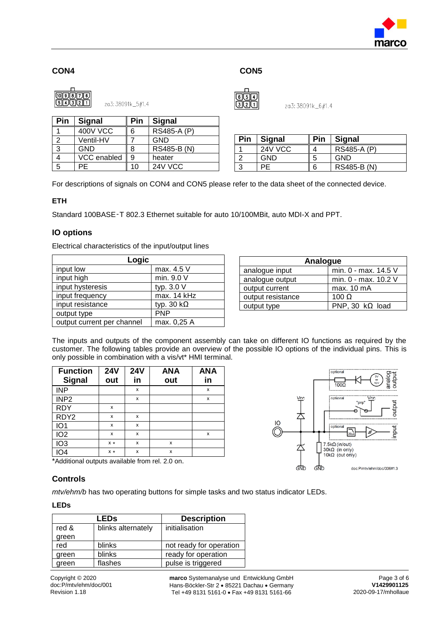

## **CON4 CON5**



 $\sqrt{514}$  $211$ 

za3: 38091k\_6#1.4

| Pin | <b>Signal</b>   | Pin | <b>Signal</b> |
|-----|-----------------|-----|---------------|
|     | <b>400V VCC</b> | 6   | RS485-A (P)   |
|     | Ventil-HV       |     | <b>GND</b>    |
| ว   | GND             | 8   | RS485-B (N)   |
|     | VCC enabled     | 9   | heater        |
|     | PF              | 10  | 24V VCC       |

| Pin | <b>Signal</b> | Pin | <b>Signal</b> |
|-----|---------------|-----|---------------|
|     | 24V VCC       |     | RS485-A (P)   |
|     | <b>GND</b>    | b   | GND           |
|     |               | 6   | RS485-B (N)   |

For descriptions of signals on CON4 and CON5 please refer to the data sheet of the connected device.

### **ETH**

Standard 100BASE‑T 802.3 Ethernet suitable for auto 10/100MBit, auto MDI-X and PPT.

### **IO options**

Electrical characteristics of the input/output lines

| Logic                      |                   |  |  |  |
|----------------------------|-------------------|--|--|--|
| input low                  | max. 4.5 V        |  |  |  |
| input high                 | min. 9.0 V        |  |  |  |
| input hysteresis           | typ. 3.0 V        |  |  |  |
| input frequency            | max. 14 kHz       |  |  |  |
| input resistance           | typ. 30 $k\Omega$ |  |  |  |
| output type                | <b>PNP</b>        |  |  |  |
| output current per channel | max. 0,25 A       |  |  |  |

| Analogue          |                        |  |  |
|-------------------|------------------------|--|--|
| analogue input    | min. 0 - max. 14.5 V   |  |  |
| analogue output   | min. 0 - max. 10.2 V   |  |  |
| output current    | max. 10 mA             |  |  |
| output resistance | 100 $\Omega$           |  |  |
| output type       | PNP, 30 $k\Omega$ load |  |  |

The inputs and outputs of the component assembly can take on different IO functions as required by the customer. The following tables provide an overview of the possible IO options of the individual pins. This is only possible in combination with a vis/vt\* HMI terminal.

| <b>Function</b><br><b>Signal</b> | <b>24V</b><br>out | <b>24V</b><br>in | <b>ANA</b><br>out | <b>ANA</b><br>in |
|----------------------------------|-------------------|------------------|-------------------|------------------|
| <b>INP</b>                       |                   | x                |                   | x                |
| INP <sub>2</sub>                 |                   | X                |                   | x                |
| <b>RDY</b>                       | x                 |                  |                   |                  |
| RDY <sub>2</sub>                 | X                 | x                |                   |                  |
| IO <sub>1</sub>                  | x                 | x                |                   |                  |
| IO <sub>2</sub>                  | X                 | X                |                   | x                |
| IO <sub>3</sub>                  | $x *$             | x                | x                 |                  |
| IO4                              | $x *$             | X                | X                 |                  |



............<br>optiona

\*Additional outputs available from rel. 2.0 on.

### **Controls**

*mtv/ehm/b* has two operating buttons for simple tasks and two status indicator LEDs.

#### **LEDs**

|       | LEDs               | <b>Description</b>      |
|-------|--------------------|-------------------------|
| red & | blinks alternately | initialisation          |
| green |                    |                         |
| red   | blinks             | not ready for operation |
| green | blinks             | ready for operation     |
| green | flashes            | pulse is triggered      |

Copyright © 2020 **marco** Systemanalyse und Entwicklung GmbH Page 3 of 6<br>
doc:P/mtv/ehm/doc/001 Hans-Böckler-Str 2 • 85221 Dachau • Germany **V1429901125** doc:P/mtv/ehm/doc/001 Hans-Böckler-Str 2 85221 Dachau Germany **V1429901125** Tel +49 8131 5161-0 · Fax +49 8131 5161-66

output

input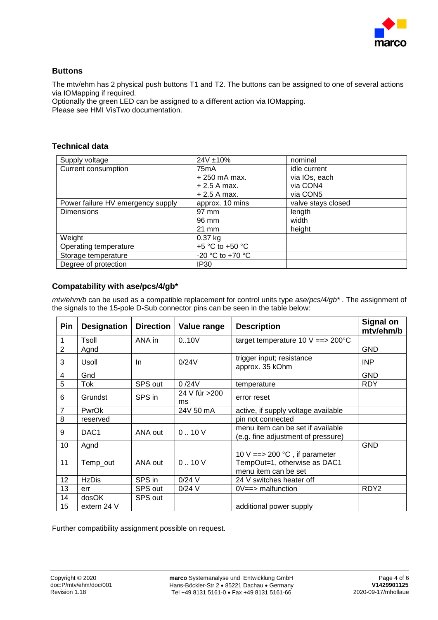

## **Buttons**

The mtv/ehm has 2 physical push buttons T1 and T2. The buttons can be assigned to one of several actions via IOMapping if required.

Optionally the green LED can be assigned to a different action via IOMapping. Please see HMI VisTwo documentation.

## **Technical data**

| Supply voltage                    | 24V ±10%            | nominal            |
|-----------------------------------|---------------------|--------------------|
| Current consumption               | 75mA                | idle current       |
|                                   | $+250$ mA max.      | via IOs, each      |
|                                   | $+2.5$ A max.       | via CON4           |
|                                   | $+2.5$ A max.       | via CON5           |
| Power failure HV emergency supply | approx. 10 mins     | valve stays closed |
| <b>Dimensions</b>                 | 97 mm               | length             |
|                                   | 96 mm               | width              |
|                                   | $21 \text{ mm}$     | height             |
| Weight                            | $0.37$ kg           |                    |
| Operating temperature             | $+5$ °C to $+50$ °C |                    |
| Storage temperature               | -20 °C to +70 °C    |                    |
| Degree of protection              | <b>IP30</b>         |                    |

# **Compatability with ase/pcs/4/gb\***

*mtv/ehm/b* can be used as a compatible replacement for control units type *ase/pcs/4/gb\** . The assignment of the signals to the 15-pole D-Sub connector pins can be seen in the table below:

| Pin            | <b>Designation</b> | <b>Direction</b> | Value range         | <b>Description</b>                                                                                | <b>Signal on</b><br>mtv/ehm/b |
|----------------|--------------------|------------------|---------------------|---------------------------------------------------------------------------------------------------|-------------------------------|
| 1              | Tsoll              | ANA in           | 0.10V               | target temperature 10 $V = > 200^{\circ}$ C                                                       |                               |
| $\overline{2}$ | Agnd               |                  |                     |                                                                                                   | <b>GND</b>                    |
| 3              | Usoll              | <b>In</b>        | 0/24V               | trigger input; resistance<br>approx. 35 kOhm                                                      | <b>INP</b>                    |
| 4              | Gnd                |                  |                     |                                                                                                   | <b>GND</b>                    |
| 5              | Tok                | SPS out          | 0/24V               | temperature                                                                                       | <b>RDY</b>                    |
| 6              | Grundst            | SPS in           | 24 V für >200<br>ms | error reset                                                                                       |                               |
| $\overline{7}$ | PwrOk              |                  | 24V 50 mA           | active, if supply voltage available                                                               |                               |
| 8              | reserved           |                  |                     | pin not connected                                                                                 |                               |
| 9              | DAC <sub>1</sub>   | ANA out          | 0.10V               | menu item can be set if available<br>(e.g. fine adjustment of pressure)                           |                               |
| 10             | Agnd               |                  |                     |                                                                                                   | <b>GND</b>                    |
| 11             | Temp_out           | ANA out          | 0.10V               | 10 V = = > 200 $^{\circ}$ C, if parameter<br>TempOut=1, otherwise as DAC1<br>menu item can be set |                               |
| 12             | <b>HzDis</b>       | SPS in           | $0/24$ V            | 24 V switches heater off                                                                          |                               |
| 13             | err                | SPS out          | $0/24$ V            | $0V == >$ malfunction                                                                             | RDY <sub>2</sub>              |
| 14             | dosOK              | SPS out          |                     |                                                                                                   |                               |
| 15             | extern 24 V        |                  |                     | additional power supply                                                                           |                               |

Further compatibility assignment possible on request.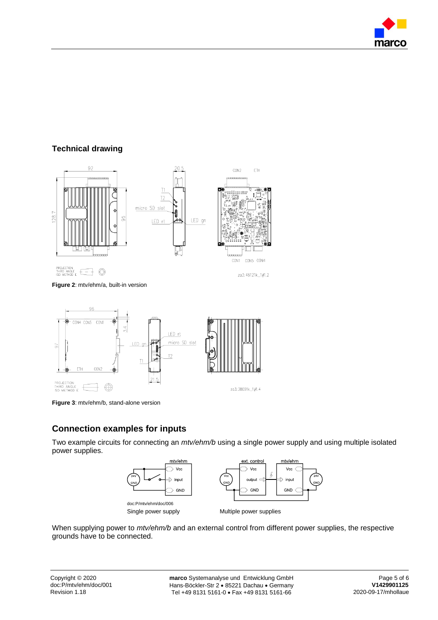

# **Technical drawing**



**Figure 2**: mtv/ehm/a, built-in version



**Figure 3**: mtv/ehm/b, stand-alone version

# **Connection examples for inputs**

Two example circuits for connecting an *mtv/ehm/b* using a single power supply and using multiple isolated power supplies.



When supplying power to *mtv/ehm/b* and an external control from different power supplies, the respective grounds have to be connected.